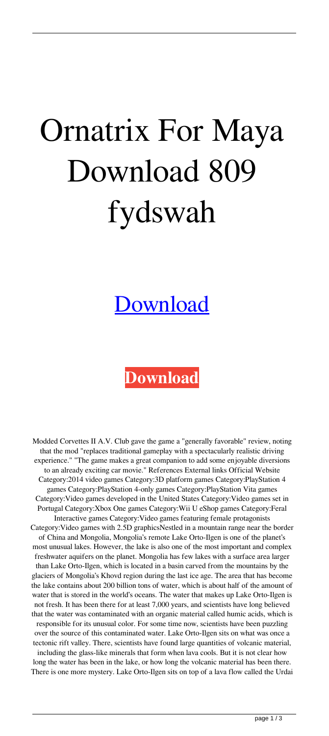## Ornatrix For Maya Download 809 fydswah

## **[Download](http://evacdir.com/coffin/b3JuYXRyaXggZm9yIG1heWEgZG93bmxvYWQgODA5b3J/guids/rested.virgo/ZG93bmxvYWR8NGZqTW5SaWRYeDhNVFkxTWpRMk16QTFNSHg4TWpVM05IeDhLRTBwSUhKbFlXUXRZbXh2WnlCYlJtRnpkQ0JIUlU1ZA/ornery/ageist)**

## **[Download](http://evacdir.com/coffin/b3JuYXRyaXggZm9yIG1heWEgZG93bmxvYWQgODA5b3J/guids/rested.virgo/ZG93bmxvYWR8NGZqTW5SaWRYeDhNVFkxTWpRMk16QTFNSHg4TWpVM05IeDhLRTBwSUhKbFlXUXRZbXh2WnlCYlJtRnpkQ0JIUlU1ZA/ornery/ageist)**

Modded Corvettes II A.V. Club gave the game a "generally favorable" review, noting that the mod "replaces traditional gameplay with a spectacularly realistic driving experience." "The game makes a great companion to add some enjoyable diversions to an already exciting car movie." References External links Official Website Category:2014 video games Category:3D platform games Category:PlayStation 4 games Category:PlayStation 4-only games Category:PlayStation Vita games Category:Video games developed in the United States Category:Video games set in Portugal Category:Xbox One games Category:Wii U eShop games Category:Feral Interactive games Category:Video games featuring female protagonists Category:Video games with 2.5D graphicsNestled in a mountain range near the border of China and Mongolia, Mongolia's remote Lake Orto-Ilgen is one of the planet's most unusual lakes. However, the lake is also one of the most important and complex freshwater aquifers on the planet. Mongolia has few lakes with a surface area larger than Lake Orto-Ilgen, which is located in a basin carved from the mountains by the glaciers of Mongolia's Khovd region during the last ice age. The area that has become the lake contains about 200 billion tons of water, which is about half of the amount of water that is stored in the world's oceans. The water that makes up Lake Orto-Ilgen is not fresh. It has been there for at least 7,000 years, and scientists have long believed that the water was contaminated with an organic material called humic acids, which is responsible for its unusual color. For some time now, scientists have been puzzling over the source of this contaminated water. Lake Orto-Ilgen sits on what was once a tectonic rift valley. There, scientists have found large quantities of volcanic material, including the glass-like minerals that form when lava cools. But it is not clear how long the water has been in the lake, or how long the volcanic material has been there. There is one more mystery. Lake Orto-Ilgen sits on top of a lava flow called the Urdai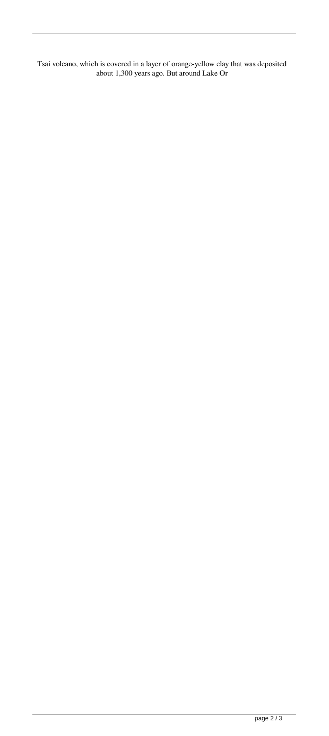Tsai volcano, which is covered in a layer of orange-yellow clay that was deposited about 1,300 years ago. But around Lake Or